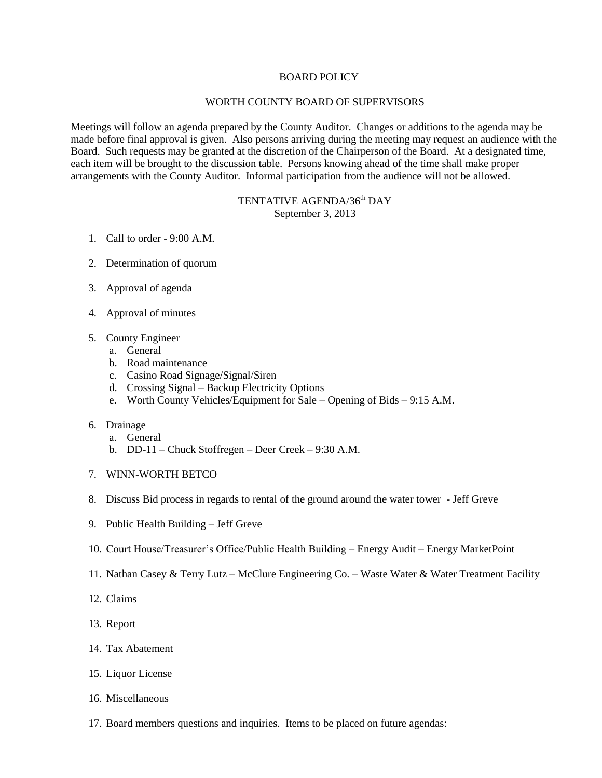## BOARD POLICY

## WORTH COUNTY BOARD OF SUPERVISORS

Meetings will follow an agenda prepared by the County Auditor. Changes or additions to the agenda may be made before final approval is given. Also persons arriving during the meeting may request an audience with the Board. Such requests may be granted at the discretion of the Chairperson of the Board. At a designated time, each item will be brought to the discussion table. Persons knowing ahead of the time shall make proper arrangements with the County Auditor. Informal participation from the audience will not be allowed.

## TENTATIVE AGENDA/36<sup>th</sup> DAY September 3, 2013

- 1. Call to order 9:00 A.M.
- 2. Determination of quorum
- 3. Approval of agenda
- 4. Approval of minutes
- 5. County Engineer
	- a. General
	- b. Road maintenance
	- c. Casino Road Signage/Signal/Siren
	- d. Crossing Signal Backup Electricity Options
	- e. Worth County Vehicles/Equipment for Sale Opening of Bids 9:15 A.M.
- 6. Drainage
	- a. General
	- b. DD-11 Chuck Stoffregen Deer Creek 9:30 A.M.
- 7. WINN-WORTH BETCO
- 8. Discuss Bid process in regards to rental of the ground around the water tower Jeff Greve
- 9. Public Health Building Jeff Greve
- 10. Court House/Treasurer's Office/Public Health Building Energy Audit Energy MarketPoint
- 11. Nathan Casey & Terry Lutz McClure Engineering Co. Waste Water & Water Treatment Facility
- 12. Claims
- 13. Report
- 14. Tax Abatement
- 15. Liquor License
- 16. Miscellaneous
- 17. Board members questions and inquiries. Items to be placed on future agendas: